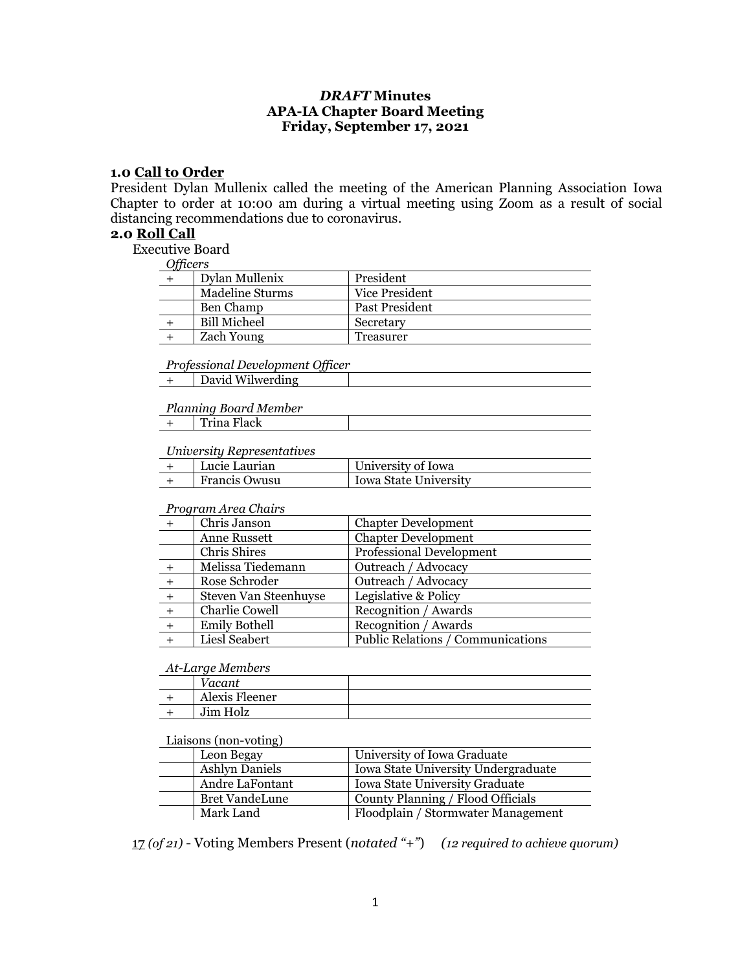## *DRAFT* **Minutes APA-IA Chapter Board Meeting Friday, September 17, 2021**

#### **1.0 Call to Order**

President Dylan Mullenix called the meeting of the American Planning Association Iowa Chapter to order at 10:00 am during a virtual meeting using Zoom as a result of social distancing recommendations due to coronavirus.

#### **2.0 Roll Call**

Executive Board

*Officers*

| <i>c</i> interv |                   |                       |
|-----------------|-------------------|-----------------------|
|                 | Dylan Mullenix    | President             |
|                 | Madeline Sturms   | Vice President        |
|                 | Ben Champ         | <b>Past President</b> |
|                 | Bill Micheel      | Secretary             |
|                 | <b>Zach Young</b> | Treasurer             |

*Professional Development Officer*

|  | David Wilwerding |
|--|------------------|
|--|------------------|

*Planning Board Member* + Trina Flack

# *University Representatives*

| $\sim$ . $\sim$ . $\sim$ . $\sim$ . $\sim$ . $\sim$ . $\sim$ . $\sim$ . $\sim$ |               |                              |  |
|--------------------------------------------------------------------------------|---------------|------------------------------|--|
|                                                                                | Lucie Laurian | University of Iowa           |  |
|                                                                                | Francis Owusu | <b>Iowa State University</b> |  |

#### *Program Area Chairs*

|       | Chris Janson          | <b>Chapter Development</b>        |
|-------|-----------------------|-----------------------------------|
|       | Anne Russett          | <b>Chapter Development</b>        |
|       | Chris Shires          | <b>Professional Development</b>   |
|       | Melissa Tiedemann     | Outreach / Advocacy               |
|       | Rose Schroder         | Outreach / Advocacy               |
| $+$   | Steven Van Steenhuyse | Legislative & Policy              |
|       | Charlie Cowell        | Recognition / Awards              |
| $\pm$ | <b>Emily Bothell</b>  | Recognition / Awards              |
|       | Liesl Seabert         | Public Relations / Communications |

#### *At-Large Members*

| Vacant         |  |
|----------------|--|
| Alexis Fleener |  |
| Jim Holz       |  |

#### Liaisons (non-voting)

| Leon Begay            | University of Iowa Graduate         |  |
|-----------------------|-------------------------------------|--|
| <b>Ashlyn Daniels</b> | Iowa State University Undergraduate |  |
| Andre LaFontant       | Iowa State University Graduate      |  |
| <b>Bret VandeLune</b> | County Planning / Flood Officials   |  |
| Mark Land             | Floodplain / Stormwater Management  |  |

17 *(of 21)* - Voting Members Present (*notated "+"*) *(12 required to achieve quorum)*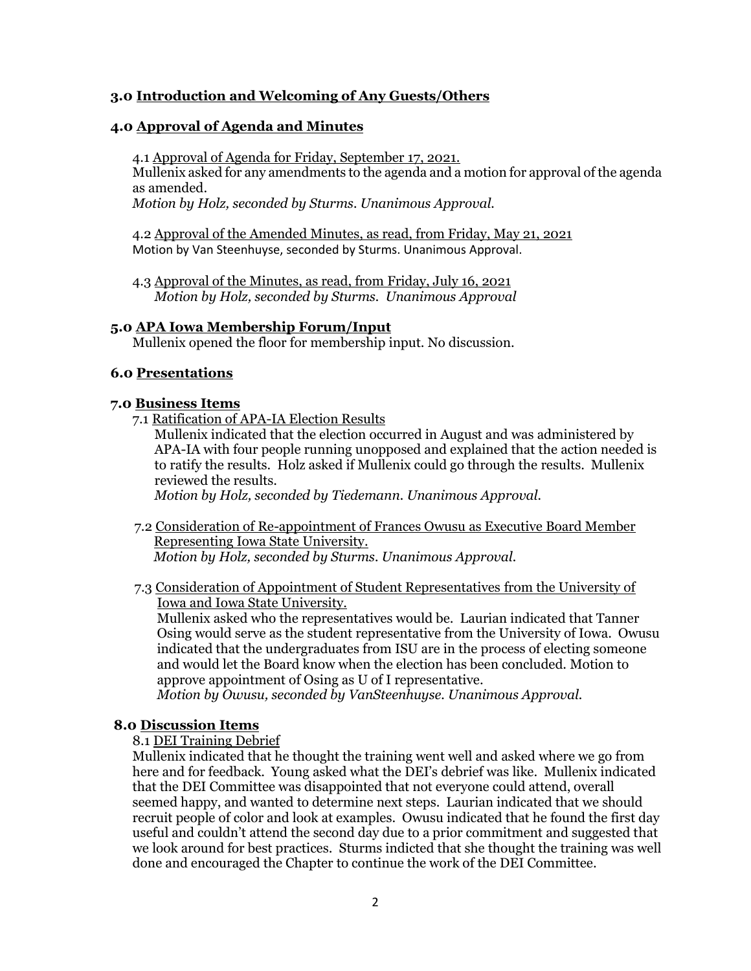# **3.0 Introduction and Welcoming of Any Guests/Others**

## **4.0 Approval of Agenda and Minutes**

4.1 Approval of Agenda for Friday, September 17, 2021.

Mullenix asked for any amendments to the agenda and a motion for approval of the agenda as amended.

*Motion by Holz, seconded by Sturms. Unanimous Approval.*

4.2 Approval of the Amended Minutes, as read, from Friday, May 21, 2021 Motion by Van Steenhuyse, seconded by Sturms. Unanimous Approval.

4.3 Approval of the Minutes, as read, from Friday, July 16, 2021 *Motion by Holz, seconded by Sturms. Unanimous Approval*

## **5.0 APA Iowa Membership Forum/Input**

Mullenix opened the floor for membership input. No discussion.

## **6.0 Presentations**

## **7.0 Business Items**

7.1 Ratification of APA-IA Election Results

Mullenix indicated that the election occurred in August and was administered by APA-IA with four people running unopposed and explained that the action needed is to ratify the results. Holz asked if Mullenix could go through the results. Mullenix reviewed the results.

*Motion by Holz, seconded by Tiedemann. Unanimous Approval.*

7.2 Consideration of Re-appointment of Frances Owusu as Executive Board Member Representing Iowa State University. *Motion by Holz, seconded by Sturms. Unanimous Approval.*

7.3 Consideration of Appointment of Student Representatives from the University of Iowa and Iowa State University.

 Mullenix asked who the representatives would be. Laurian indicated that Tanner Osing would serve as the student representative from the University of Iowa. Owusu indicated that the undergraduates from ISU are in the process of electing someone and would let the Board know when the election has been concluded. Motion to approve appointment of Osing as U of I representative.

 *Motion by Owusu, seconded by VanSteenhuyse. Unanimous Approval.*

# **8.0 Discussion Items**

8.1 DEI Training Debrief

Mullenix indicated that he thought the training went well and asked where we go from here and for feedback. Young asked what the DEI's debrief was like. Mullenix indicated that the DEI Committee was disappointed that not everyone could attend, overall seemed happy, and wanted to determine next steps. Laurian indicated that we should recruit people of color and look at examples. Owusu indicated that he found the first day useful and couldn't attend the second day due to a prior commitment and suggested that we look around for best practices. Sturms indicted that she thought the training was well done and encouraged the Chapter to continue the work of the DEI Committee.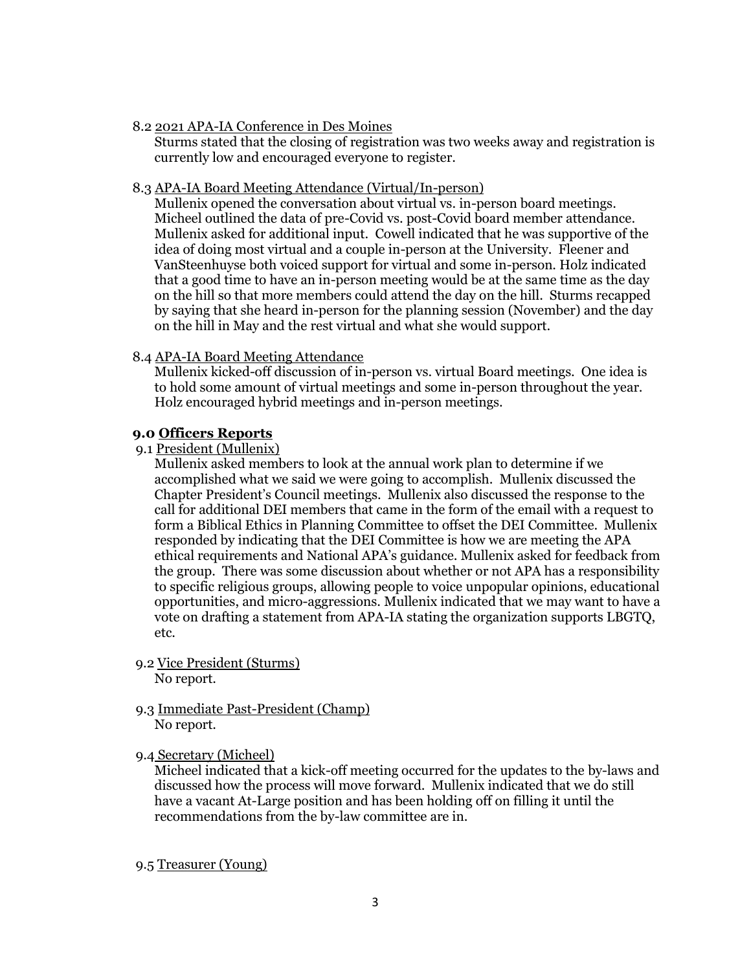#### 8.2 2021 APA-IA Conference in Des Moines

Sturms stated that the closing of registration was two weeks away and registration is currently low and encouraged everyone to register.

#### 8.3 APA-IA Board Meeting Attendance (Virtual/In-person)

Mullenix opened the conversation about virtual vs. in-person board meetings. Micheel outlined the data of pre-Covid vs. post-Covid board member attendance. Mullenix asked for additional input. Cowell indicated that he was supportive of the idea of doing most virtual and a couple in-person at the University. Fleener and VanSteenhuyse both voiced support for virtual and some in-person. Holz indicated that a good time to have an in-person meeting would be at the same time as the day on the hill so that more members could attend the day on the hill. Sturms recapped by saying that she heard in-person for the planning session (November) and the day on the hill in May and the rest virtual and what she would support.

## 8.4 APA-IA Board Meeting Attendance

Mullenix kicked-off discussion of in-person vs. virtual Board meetings. One idea is to hold some amount of virtual meetings and some in-person throughout the year. Holz encouraged hybrid meetings and in-person meetings.

## **9.0 Officers Reports**

9.1 President (Mullenix)

Mullenix asked members to look at the annual work plan to determine if we accomplished what we said we were going to accomplish. Mullenix discussed the Chapter President's Council meetings. Mullenix also discussed the response to the call for additional DEI members that came in the form of the email with a request to form a Biblical Ethics in Planning Committee to offset the DEI Committee. Mullenix responded by indicating that the DEI Committee is how we are meeting the APA ethical requirements and National APA's guidance. Mullenix asked for feedback from the group. There was some discussion about whether or not APA has a responsibility to specific religious groups, allowing people to voice unpopular opinions, educational opportunities, and micro-aggressions. Mullenix indicated that we may want to have a vote on drafting a statement from APA-IA stating the organization supports LBGTQ, etc.

- 9.2 Vice President (Sturms) No report.
- 9.3 Immediate Past-President (Champ) No report.

## 9.4 Secretary (Micheel)

Micheel indicated that a kick-off meeting occurred for the updates to the by-laws and discussed how the process will move forward. Mullenix indicated that we do still have a vacant At-Large position and has been holding off on filling it until the recommendations from the by-law committee are in.

## 9.5 Treasurer (Young)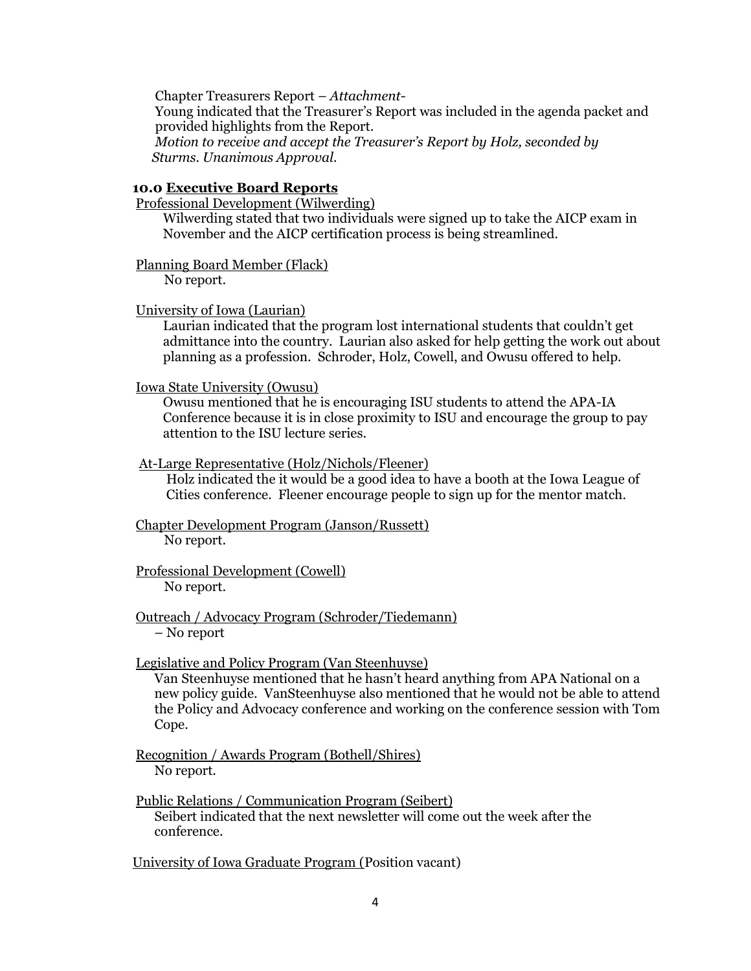Chapter Treasurers Report – *Attachment-* Young indicated that the Treasurer's Report was included in the agenda packet and provided highlights from the Report.  *Motion to receive and accept the Treasurer's Report by Holz, seconded by Sturms. Unanimous Approval.*

#### **10.0 Executive Board Reports**

Professional Development (Wilwerding)

 Wilwerding stated that two individuals were signed up to take the AICP exam in November and the AICP certification process is being streamlined.

Planning Board Member (Flack)

No report.

#### University of Iowa (Laurian)

 Laurian indicated that the program lost international students that couldn't get admittance into the country. Laurian also asked for help getting the work out about planning as a profession. Schroder, Holz, Cowell, and Owusu offered to help.

Iowa State University (Owusu)

 Owusu mentioned that he is encouraging ISU students to attend the APA-IA Conference because it is in close proximity to ISU and encourage the group to pay attention to the ISU lecture series.

#### At-Large Representative (Holz/Nichols/Fleener)

 Holz indicated the it would be a good idea to have a booth at the Iowa League of Cities conference. Fleener encourage people to sign up for the mentor match.

# Chapter Development Program (Janson/Russett)

No report.

#### Professional Development (Cowell) No report.

## Outreach / Advocacy Program (Schroder/Tiedemann) – No report

## Legislative and Policy Program (Van Steenhuyse)

Van Steenhuyse mentioned that he hasn't heard anything from APA National on a new policy guide. VanSteenhuyse also mentioned that he would not be able to attend the Policy and Advocacy conference and working on the conference session with Tom Cope.

Recognition / Awards Program (Bothell/Shires) No report.

Public Relations / Communication Program (Seibert) Seibert indicated that the next newsletter will come out the week after the conference.

University of Iowa Graduate Program (Position vacant)